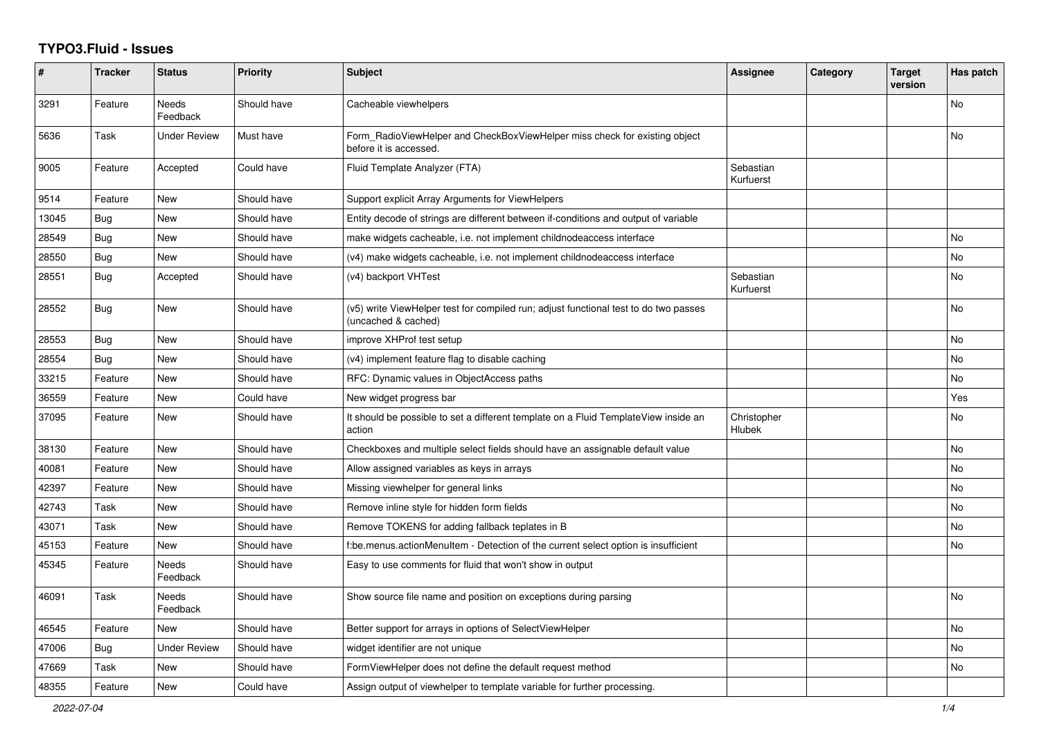## **TYPO3.Fluid - Issues**

| #     | <b>Tracker</b> | <b>Status</b>            | <b>Priority</b> | <b>Subject</b>                                                                                              | Assignee               | Category | <b>Target</b><br>version | Has patch |
|-------|----------------|--------------------------|-----------------|-------------------------------------------------------------------------------------------------------------|------------------------|----------|--------------------------|-----------|
| 3291  | Feature        | Needs<br>Feedback        | Should have     | Cacheable viewhelpers                                                                                       |                        |          |                          | No        |
| 5636  | Task           | Under Review             | Must have       | Form RadioViewHelper and CheckBoxViewHelper miss check for existing object<br>before it is accessed.        |                        |          |                          | No        |
| 9005  | Feature        | Accepted                 | Could have      | Fluid Template Analyzer (FTA)                                                                               | Sebastian<br>Kurfuerst |          |                          |           |
| 9514  | Feature        | New                      | Should have     | Support explicit Array Arguments for ViewHelpers                                                            |                        |          |                          |           |
| 13045 | <b>Bug</b>     | New                      | Should have     | Entity decode of strings are different between if-conditions and output of variable                         |                        |          |                          |           |
| 28549 | <b>Bug</b>     | <b>New</b>               | Should have     | make widgets cacheable, i.e. not implement childnodeaccess interface                                        |                        |          |                          | <b>No</b> |
| 28550 | <b>Bug</b>     | <b>New</b>               | Should have     | (v4) make widgets cacheable, i.e. not implement childnodeaccess interface                                   |                        |          |                          | <b>No</b> |
| 28551 | <b>Bug</b>     | Accepted                 | Should have     | (v4) backport VHTest                                                                                        | Sebastian<br>Kurfuerst |          |                          | No        |
| 28552 | Bug            | New                      | Should have     | (v5) write ViewHelper test for compiled run; adjust functional test to do two passes<br>(uncached & cached) |                        |          |                          | <b>No</b> |
| 28553 | Bug            | New                      | Should have     | improve XHProf test setup                                                                                   |                        |          |                          | No        |
| 28554 | Bug            | New                      | Should have     | (v4) implement feature flag to disable caching                                                              |                        |          |                          | No        |
| 33215 | Feature        | <b>New</b>               | Should have     | RFC: Dynamic values in ObjectAccess paths                                                                   |                        |          |                          | <b>No</b> |
| 36559 | Feature        | New                      | Could have      | New widget progress bar                                                                                     |                        |          |                          | Yes       |
| 37095 | Feature        | New                      | Should have     | It should be possible to set a different template on a Fluid TemplateView inside an<br>action               | Christopher<br>Hlubek  |          |                          | No        |
| 38130 | Feature        | New                      | Should have     | Checkboxes and multiple select fields should have an assignable default value                               |                        |          |                          | No        |
| 40081 | Feature        | New                      | Should have     | Allow assigned variables as keys in arrays                                                                  |                        |          |                          | No        |
| 42397 | Feature        | New                      | Should have     | Missing viewhelper for general links                                                                        |                        |          |                          | No        |
| 42743 | Task           | New                      | Should have     | Remove inline style for hidden form fields                                                                  |                        |          |                          | No        |
| 43071 | Task           | New                      | Should have     | Remove TOKENS for adding fallback teplates in B                                                             |                        |          |                          | <b>No</b> |
| 45153 | Feature        | New                      | Should have     | f:be.menus.actionMenuItem - Detection of the current select option is insufficient                          |                        |          |                          | No        |
| 45345 | Feature        | Needs<br>Feedback        | Should have     | Easy to use comments for fluid that won't show in output                                                    |                        |          |                          |           |
| 46091 | Task           | <b>Needs</b><br>Feedback | Should have     | Show source file name and position on exceptions during parsing                                             |                        |          |                          | No        |
| 46545 | Feature        | New                      | Should have     | Better support for arrays in options of SelectViewHelper                                                    |                        |          |                          | <b>No</b> |
| 47006 | <b>Bug</b>     | <b>Under Review</b>      | Should have     | widget identifier are not unique                                                                            |                        |          |                          | No        |
| 47669 | Task           | New                      | Should have     | FormViewHelper does not define the default request method                                                   |                        |          |                          | No        |
| 48355 | Feature        | New                      | Could have      | Assign output of viewhelper to template variable for further processing.                                    |                        |          |                          |           |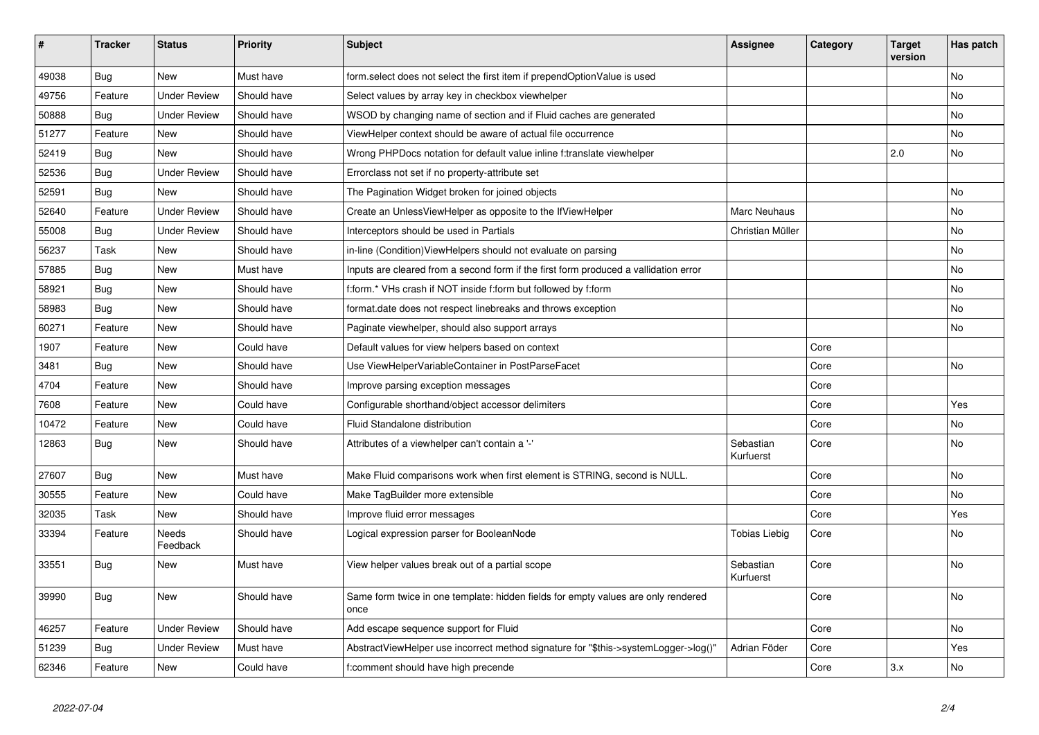| $\vert$ # | <b>Tracker</b> | <b>Status</b>            | <b>Priority</b> | <b>Subject</b>                                                                            | Assignee               | Category | <b>Target</b><br>version | Has patch |
|-----------|----------------|--------------------------|-----------------|-------------------------------------------------------------------------------------------|------------------------|----------|--------------------------|-----------|
| 49038     | <b>Bug</b>     | New                      | Must have       | form.select does not select the first item if prependOptionValue is used                  |                        |          |                          | <b>No</b> |
| 49756     | Feature        | Under Review             | Should have     | Select values by array key in checkbox viewhelper                                         |                        |          |                          | <b>No</b> |
| 50888     | Bug            | <b>Under Review</b>      | Should have     | WSOD by changing name of section and if Fluid caches are generated                        |                        |          |                          | No        |
| 51277     | Feature        | New                      | Should have     | ViewHelper context should be aware of actual file occurrence                              |                        |          |                          | No        |
| 52419     | <b>Bug</b>     | <b>New</b>               | Should have     | Wrong PHPDocs notation for default value inline f:translate viewhelper                    |                        |          | 2.0                      | <b>No</b> |
| 52536     | Bug            | <b>Under Review</b>      | Should have     | Errorclass not set if no property-attribute set                                           |                        |          |                          |           |
| 52591     | <b>Bug</b>     | New                      | Should have     | The Pagination Widget broken for joined objects                                           |                        |          |                          | No        |
| 52640     | Feature        | <b>Under Review</b>      | Should have     | Create an UnlessViewHelper as opposite to the IfViewHelper                                | Marc Neuhaus           |          |                          | <b>No</b> |
| 55008     | Bug            | <b>Under Review</b>      | Should have     | Interceptors should be used in Partials                                                   | Christian Müller       |          |                          | No        |
| 56237     | Task           | New                      | Should have     | in-line (Condition) View Helpers should not evaluate on parsing                           |                        |          |                          | No        |
| 57885     | Bug            | New                      | Must have       | Inputs are cleared from a second form if the first form produced a vallidation error      |                        |          |                          | No        |
| 58921     | Bug            | New                      | Should have     | f:form.* VHs crash if NOT inside f:form but followed by f:form                            |                        |          |                          | <b>No</b> |
| 58983     | Bug            | New                      | Should have     | format.date does not respect linebreaks and throws exception                              |                        |          |                          | No        |
| 60271     | Feature        | New                      | Should have     | Paginate viewhelper, should also support arrays                                           |                        |          |                          | No        |
| 1907      | Feature        | New                      | Could have      | Default values for view helpers based on context                                          |                        | Core     |                          |           |
| 3481      | Bug            | New                      | Should have     | Use ViewHelperVariableContainer in PostParseFacet                                         |                        | Core     |                          | No        |
| 4704      | Feature        | <b>New</b>               | Should have     | Improve parsing exception messages                                                        |                        | Core     |                          |           |
| 7608      | Feature        | New                      | Could have      | Configurable shorthand/object accessor delimiters                                         |                        | Core     |                          | Yes       |
| 10472     | Feature        | New                      | Could have      | Fluid Standalone distribution                                                             |                        | Core     |                          | No        |
| 12863     | Bug            | New                      | Should have     | Attributes of a viewhelper can't contain a '-'                                            | Sebastian<br>Kurfuerst | Core     |                          | No        |
| 27607     | Bug            | <b>New</b>               | Must have       | Make Fluid comparisons work when first element is STRING, second is NULL.                 |                        | Core     |                          | <b>No</b> |
| 30555     | Feature        | <b>New</b>               | Could have      | Make TagBuilder more extensible                                                           |                        | Core     |                          | No        |
| 32035     | Task           | New                      | Should have     | Improve fluid error messages                                                              |                        | Core     |                          | Yes       |
| 33394     | Feature        | <b>Needs</b><br>Feedback | Should have     | Logical expression parser for BooleanNode                                                 | Tobias Liebig          | Core     |                          | <b>No</b> |
| 33551     | <b>Bug</b>     | New                      | Must have       | View helper values break out of a partial scope                                           | Sebastian<br>Kurfuerst | Core     |                          | No        |
| 39990     | Bug            | <b>New</b>               | Should have     | Same form twice in one template: hidden fields for empty values are only rendered<br>once |                        | Core     |                          | <b>No</b> |
| 46257     | Feature        | <b>Under Review</b>      | Should have     | Add escape sequence support for Fluid                                                     |                        | Core     |                          | No        |
| 51239     | <b>Bug</b>     | <b>Under Review</b>      | Must have       | AbstractViewHelper use incorrect method signature for "\$this->systemLogger->log()"       | Adrian Föder           | Core     |                          | Yes       |
| 62346     | Feature        | <b>New</b>               | Could have      | f:comment should have high precende                                                       |                        | Core     | 3.x                      | <b>No</b> |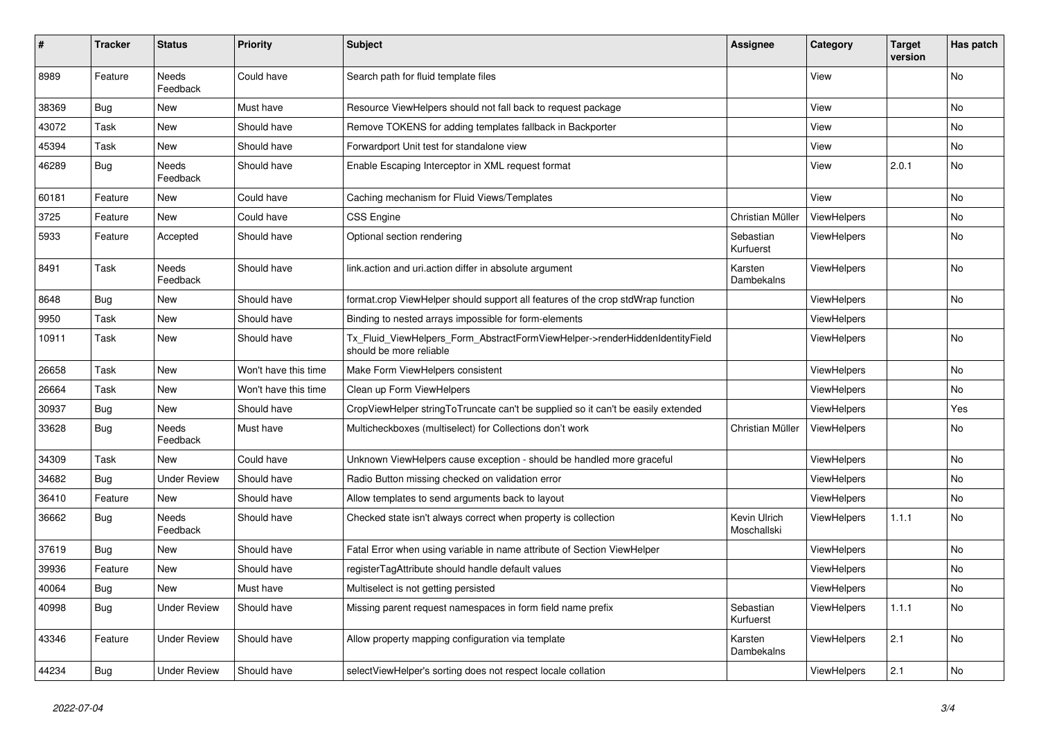| #     | <b>Tracker</b> | <b>Status</b>            | <b>Priority</b>      | <b>Subject</b>                                                                                         | Assignee                    | Category           | <b>Target</b><br>version | Has patch |
|-------|----------------|--------------------------|----------------------|--------------------------------------------------------------------------------------------------------|-----------------------------|--------------------|--------------------------|-----------|
| 8989  | Feature        | <b>Needs</b><br>Feedback | Could have           | Search path for fluid template files                                                                   |                             | View               |                          | <b>No</b> |
| 38369 | <b>Bug</b>     | New                      | Must have            | Resource ViewHelpers should not fall back to request package                                           |                             | View               |                          | No        |
| 43072 | Task           | New                      | Should have          | Remove TOKENS for adding templates fallback in Backporter                                              |                             | View               |                          | No        |
| 45394 | Task           | New                      | Should have          | Forwardport Unit test for standalone view                                                              |                             | View               |                          | <b>No</b> |
| 46289 | Bug            | Needs<br>Feedback        | Should have          | Enable Escaping Interceptor in XML request format                                                      |                             | View               | 2.0.1                    | No        |
| 60181 | Feature        | <b>New</b>               | Could have           | Caching mechanism for Fluid Views/Templates                                                            |                             | View               |                          | <b>No</b> |
| 3725  | Feature        | New                      | Could have           | <b>CSS Engine</b>                                                                                      | Christian Müller            | ViewHelpers        |                          | <b>No</b> |
| 5933  | Feature        | Accepted                 | Should have          | Optional section rendering                                                                             | Sebastian<br>Kurfuerst      | ViewHelpers        |                          | No        |
| 8491  | Task           | Needs<br>Feedback        | Should have          | link.action and uri.action differ in absolute argument                                                 | Karsten<br>Dambekalns       | ViewHelpers        |                          | <b>No</b> |
| 8648  | Bug            | New                      | Should have          | format.crop ViewHelper should support all features of the crop stdWrap function                        |                             | <b>ViewHelpers</b> |                          | <b>No</b> |
| 9950  | Task           | New                      | Should have          | Binding to nested arrays impossible for form-elements                                                  |                             | <b>ViewHelpers</b> |                          |           |
| 10911 | Task           | New                      | Should have          | Tx Fluid ViewHelpers Form AbstractFormViewHelper->renderHiddenIdentityField<br>should be more reliable |                             | <b>ViewHelpers</b> |                          | <b>No</b> |
| 26658 | Task           | <b>New</b>               | Won't have this time | Make Form ViewHelpers consistent                                                                       |                             | ViewHelpers        |                          | <b>No</b> |
| 26664 | Task           | New                      | Won't have this time | Clean up Form ViewHelpers                                                                              |                             | <b>ViewHelpers</b> |                          | <b>No</b> |
| 30937 | <b>Bug</b>     | New                      | Should have          | CropViewHelper stringToTruncate can't be supplied so it can't be easily extended                       |                             | ViewHelpers        |                          | Yes       |
| 33628 | Bug            | <b>Needs</b><br>Feedback | Must have            | Multicheckboxes (multiselect) for Collections don't work                                               | Christian Müller            | ViewHelpers        |                          | No        |
| 34309 | Task           | <b>New</b>               | Could have           | Unknown ViewHelpers cause exception - should be handled more graceful                                  |                             | <b>ViewHelpers</b> |                          | No        |
| 34682 | <b>Bug</b>     | <b>Under Review</b>      | Should have          | Radio Button missing checked on validation error                                                       |                             | <b>ViewHelpers</b> |                          | <b>No</b> |
| 36410 | Feature        | <b>New</b>               | Should have          | Allow templates to send arguments back to layout                                                       |                             | <b>ViewHelpers</b> |                          | <b>No</b> |
| 36662 | Bug            | Needs<br>Feedback        | Should have          | Checked state isn't always correct when property is collection                                         | Kevin Ulrich<br>Moschallski | <b>ViewHelpers</b> | 1.1.1                    | <b>No</b> |
| 37619 | Bug            | New                      | Should have          | Fatal Error when using variable in name attribute of Section ViewHelper                                |                             | ViewHelpers        |                          | No        |
| 39936 | Feature        | New                      | Should have          | registerTagAttribute should handle default values                                                      |                             | <b>ViewHelpers</b> |                          | No        |
| 40064 | <b>Bug</b>     | New                      | Must have            | Multiselect is not getting persisted                                                                   |                             | ViewHelpers        |                          | No        |
| 40998 | Bug            | <b>Under Review</b>      | Should have          | Missing parent request namespaces in form field name prefix                                            | Sebastian<br>Kurfuerst      | ViewHelpers        | 1.1.1                    | No        |
| 43346 | Feature        | Under Review             | Should have          | Allow property mapping configuration via template                                                      | Karsten<br>Dambekalns       | <b>ViewHelpers</b> | 2.1                      | <b>No</b> |
| 44234 | <b>Bug</b>     | <b>Under Review</b>      | Should have          | selectViewHelper's sorting does not respect locale collation                                           |                             | ViewHelpers        | 2.1                      | <b>No</b> |